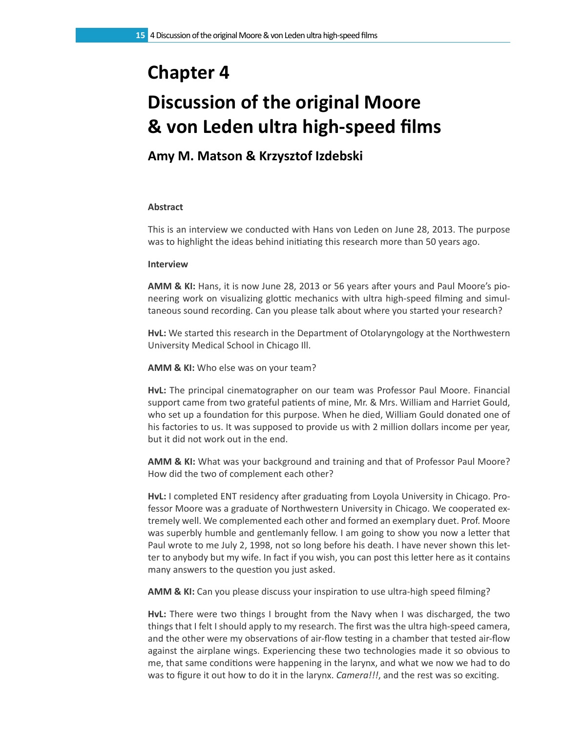## **Chapter 4**

# **Discussion of the original Moore & von Leden ultra high-speed films**

## **Amy M. Matson & Krzysztof Izdebski**

### **Abstract**

This is an interview we conducted with Hans von Leden on June 28, 2013. The purpose was to highlight the ideas behind initiating this research more than 50 years ago.

#### **Interview**

**AMM & KI:** Hans, it is now June 28, 2013 or 56 years after yours and Paul Moore's pioneering work on visualizing glottic mechanics with ultra high-speed filming and simultaneous sound recording. Can you please talk about where you started your research?

**HvL:** We started this research in the Department of Otolaryngology at the Northwestern University Medical School in Chicago Ill.

**AMM & KI:** Who else was on your team?

**HvL:** The principal cinematographer on our team was Professor Paul Moore. Financial support came from two grateful patients of mine, Mr. & Mrs. William and Harriet Gould, who set up a foundation for this purpose. When he died, William Gould donated one of his factories to us. It was supposed to provide us with 2 million dollars income per year, but it did not work out in the end.

**AMM & KI:** What was your background and training and that of Professor Paul Moore? How did the two of complement each other?

**HvL:** I completed ENT residency after graduating from Loyola University in Chicago. Professor Moore was a graduate of Northwestern University in Chicago. We cooperated extremely well. We complemented each other and formed an exemplary duet. Prof. Moore was superbly humble and gentlemanly fellow. I am going to show you now a letter that Paul wrote to me July 2, 1998, not so long before his death. I have never shown this letter to anybody but my wife. In fact if you wish, you can post this letter here as it contains many answers to the question you just asked.

**AMM & KI:** Can you please discuss your inspiration to use ultra-high speed filming?

**HvL:** There were two things I brought from the Navy when I was discharged, the two things that I felt I should apply to my research. The first was the ultra high-speed camera, and the other were my observations of air-flow testing in a chamber that tested air-flow against the airplane wings. Experiencing these two technologies made it so obvious to me, that same conditions were happening in the larynx, and what we now we had to do was to figure it out how to do it in the larynx. *Camera!!!*, and the rest was so exciting.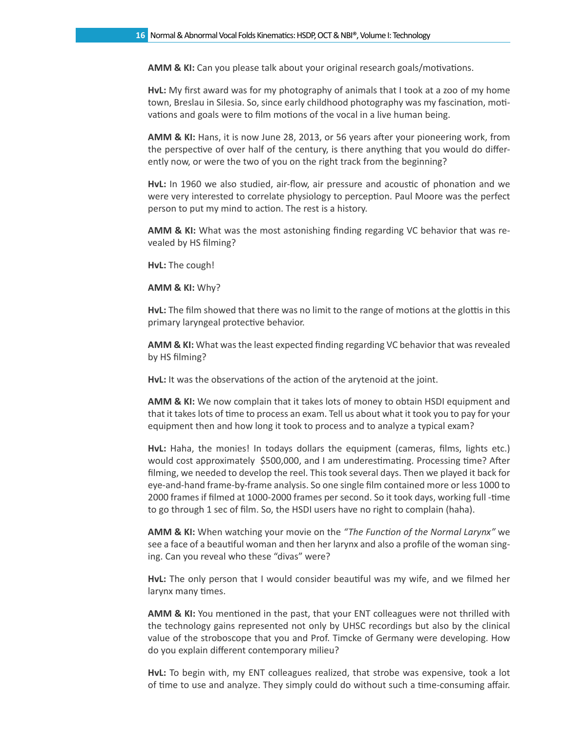**AMM & KI:** Can you please talk about your original research goals/motivations.

**HvL:** My first award was for my photography of animals that I took at a zoo of my home town, Breslau in Silesia. So, since early childhood photography was my fascination, motivations and goals were to film motions of the vocal in a live human being.

**AMM & KI:** Hans, it is now June 28, 2013, or 56 years after your pioneering work, from the perspective of over half of the century, is there anything that you would do differently now, or were the two of you on the right track from the beginning?

**HvL:** In 1960 we also studied, air-flow, air pressure and acoustic of phonation and we were very interested to correlate physiology to perception. Paul Moore was the perfect person to put my mind to action. The rest is a history.

**AMM & KI:** What was the most astonishing finding regarding VC behavior that was revealed by HS filming?

**HvL:** The cough!

**AMM & KI:** Why?

**HvL:** The film showed that there was no limit to the range of motions at the glottis in this primary laryngeal protective behavior.

**AMM & KI:** What was the least expected finding regarding VC behavior that was revealed by HS filming?

**HvL:** It was the observations of the action of the arytenoid at the joint.

**AMM & KI:** We now complain that it takes lots of money to obtain HSDI equipment and that it takes lots of time to process an exam. Tell us about what it took you to pay for your equipment then and how long it took to process and to analyze a typical exam?

**HvL:** Haha, the monies! In todays dollars the equipment (cameras, films, lights etc.) would cost approximately \$500,000, and I am underestimating. Processing time? After filming, we needed to develop the reel. This took several days. Then we played it back for eye-and-hand frame-by-frame analysis. So one single film contained more or less 1000 to 2000 frames if filmed at 1000-2000 frames per second. So it took days, working full -time to go through 1 sec of film. So, the HSDI users have no right to complain (haha).

**AMM & KI:** When watching your movie on the *"The Function of the Normal Larynx"* we see a face of a beautiful woman and then her larynx and also a profile of the woman singing. Can you reveal who these "divas" were?

**HvL:** The only person that I would consider beautiful was my wife, and we filmed her larynx many times.

**AMM & KI:** You mentioned in the past, that your ENT colleagues were not thrilled with the technology gains represented not only by UHSC recordings but also by the clinical value of the stroboscope that you and Prof. Timcke of Germany were developing. How do you explain different contemporary milieu?

**HvL:** To begin with, my ENT colleagues realized, that strobe was expensive, took a lot of time to use and analyze. They simply could do without such a time-consuming affair.